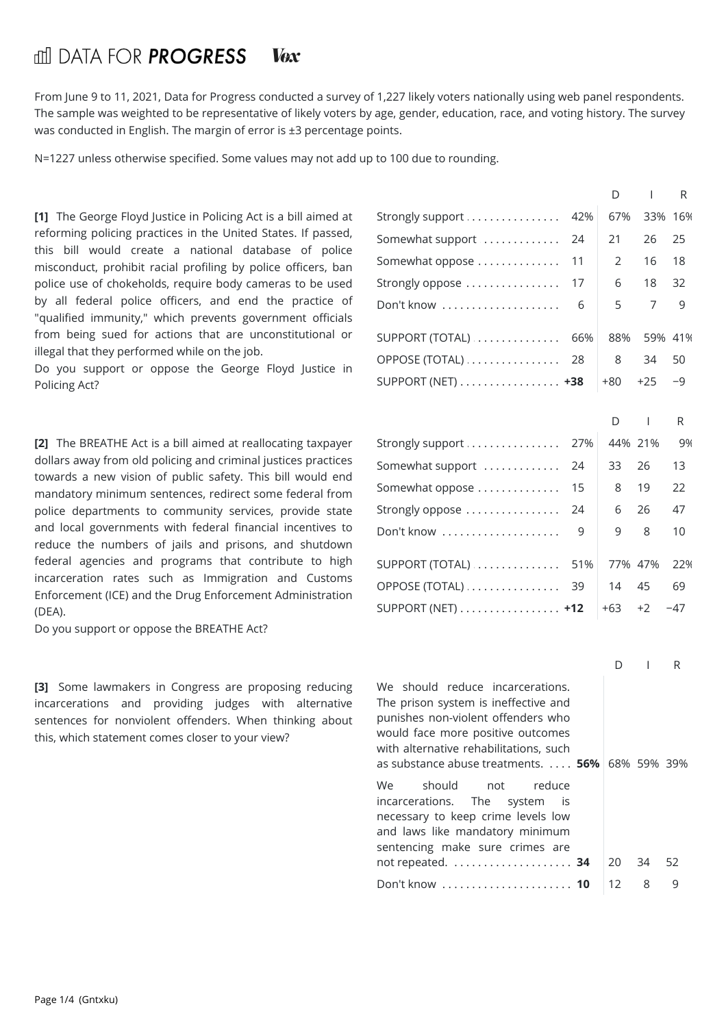## find DATA FOR **PROGRESS Vex**

From June 9 to 11, 2021, Data for Progress conducted a survey of 1,227 likely voters nationally using web panel respondents. The sample was weighted to be representative of likely voters by age, gender, education, race, and voting history. The survey was conducted in English. The margin of error is ±3 percentage points.

N=1227 unless otherwise specified. Some values may not add up to 100 due to rounding.

**[1]** The George Floyd Justice in Policing Act is a bill aimed at reforming policing practices in the United States. If passed, this billwould create a national database of police misconduct, prohibit racial profiling by police officers, ban police use of chokeholds, require body cameras to be used by all federal police officers, and end the practice of "qualified immunity," which prevents government officials from being sued for actions that are unconstitutional or illegal that they performed while on the job.

Do you support or oppose the George Floyd Justice in Policing Act?

**[2]** The BREATHE Act is a bill aimed at reallocating taxpayer dollars away from old policing and criminal justices practices towards a new vision of public safety. This bill would end mandatory minimum sentences, redirect some federal from police departments to community services, provide state and local governments with federal financial incentives to reduce the numbers of jails and prisons, and shutdown federal agencies and programs that contribute to high incarceration rates such as Immigration and Customs Enforcement (ICE) and the Drug Enforcement Administration (DEA).

Do you support or oppose the BREATHE Act?

**[3]** Some lawmakers in Congress are proposing reducing incarcerations and providing judges with alternative sentences for nonviolent offenders. When thinking about this, which statement comes closer to your view?

|                                                                                                                                                                                                                                                                                                                                                                                                                |     | D     | $\overline{1}$ | R       |  |
|----------------------------------------------------------------------------------------------------------------------------------------------------------------------------------------------------------------------------------------------------------------------------------------------------------------------------------------------------------------------------------------------------------------|-----|-------|----------------|---------|--|
| Strongly support                                                                                                                                                                                                                                                                                                                                                                                               | 42% | 67%   |                | 33% 16% |  |
| Somewhat support                                                                                                                                                                                                                                                                                                                                                                                               | 24  | 21    | 26             | 25      |  |
| Somewhat oppose                                                                                                                                                                                                                                                                                                                                                                                                | 11  | 2     | 16             | 18      |  |
| Strongly oppose                                                                                                                                                                                                                                                                                                                                                                                                | 17  | 6     | 18             | 32      |  |
| Don't know                                                                                                                                                                                                                                                                                                                                                                                                     | 6   | 5     | 7              | 9       |  |
| SUPPORT (TOTAL)                                                                                                                                                                                                                                                                                                                                                                                                | 66% | 88%   |                | 59% 41% |  |
| OPPOSE (TOTAL)                                                                                                                                                                                                                                                                                                                                                                                                 | 28  | 8     | 34             | 50      |  |
| SUPPORT (NET) $\dots\dots\dots\dots\dots\dots$                                                                                                                                                                                                                                                                                                                                                                 |     | +80   | $+25$          | -9      |  |
|                                                                                                                                                                                                                                                                                                                                                                                                                |     | D     | I              | R       |  |
| Strongly support                                                                                                                                                                                                                                                                                                                                                                                               | 27% |       | 44% 21%        | 9%      |  |
| Somewhat support                                                                                                                                                                                                                                                                                                                                                                                               | 24  | 33    | 26             | 13      |  |
| Somewhat oppose                                                                                                                                                                                                                                                                                                                                                                                                | 15  | 8     | 19             | 22      |  |
| Strongly oppose                                                                                                                                                                                                                                                                                                                                                                                                | 24  | 6     | 26             | 47      |  |
| Don't know                                                                                                                                                                                                                                                                                                                                                                                                     | 9   | 9     | 8              | 10      |  |
| SUPPORT (TOTAL)                                                                                                                                                                                                                                                                                                                                                                                                | 51% |       | 77% 47%        | 22%     |  |
| OPPOSE (TOTAL)                                                                                                                                                                                                                                                                                                                                                                                                 | 39  | 14    | 45             | 69      |  |
| SUPPORT (NET) +12                                                                                                                                                                                                                                                                                                                                                                                              |     | $+63$ | $+2$           | -47     |  |
|                                                                                                                                                                                                                                                                                                                                                                                                                |     |       |                |         |  |
|                                                                                                                                                                                                                                                                                                                                                                                                                |     | D     | $\mathsf{I}$   | R       |  |
| We should reduce incarcerations.<br>The prison system is ineffective and<br>punishes non-violent offenders who<br>would face more positive outcomes<br>with alternative rehabilitations, such<br>as substance abuse treatments. $\ldots$ 56% 68% 59% 39%<br>should<br>We<br>reduce<br>not<br>The<br>incarcerations.<br>system<br>is i<br>necessary to keep crime levels low<br>and laws like mandatory minimum |     |       |                |         |  |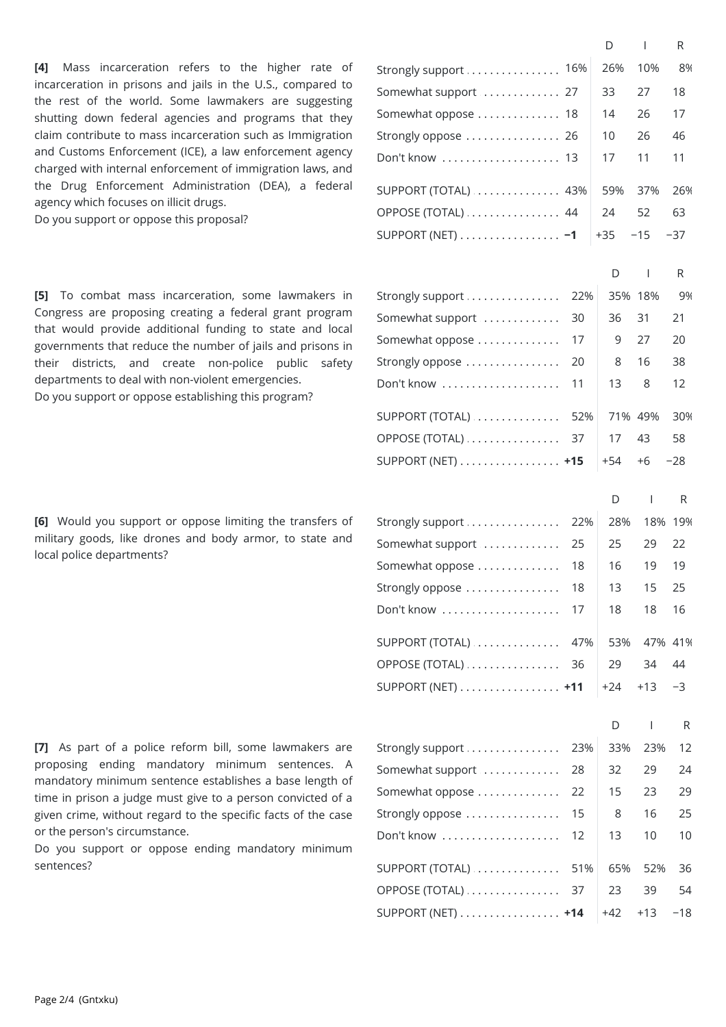**[4]** Mass incarceration refers to the higher rate of incarceration in prisons and jails in the U.S., compared to the rest of the world. Some lawmakers are suggesting shutting down federal agencies and programs that they claim contribute to mass incarceration such as Immigration and Customs Enforcement (ICE), a law enforcement agency charged with internal enforcement of immigration laws, and the Drug Enforcement Administration (DEA), a federal agency which focuses on illicit drugs.

Do you support or oppose this proposal?

**[5]** To combat mass incarceration, some lawmakers in Congress are proposing creating a federal grant program that would provide additional funding to state and local governments that reduce the number of jails and prisons in their districts, and create non-police public safety departments to deal with non-violent emergencies. Do you support or oppose establishing this program?

**[6]** Would you support or oppose limiting the transfers of military goods, like drones and body armor, to state and local police departments?

**[7]** As part of a police reform bill, some lawmakers are proposing ending mandatory minimum sentences. A mandatory minimum sentence establishes a base length of time in prison a judge must give to a person convicted of a given crime, without regard to the specific facts of the case or the person's circumstance.

Do you support or oppose ending mandatory minimum sentences?

|                                                |     | D       | $\mathbf{I}$   | R     |  |
|------------------------------------------------|-----|---------|----------------|-------|--|
| Strongly support  16%                          |     | 26%     | 10%            | 8%    |  |
| Somewhat support  27                           |     | 33      | 27             | 18    |  |
| Somewhat oppose  18                            |     | 14      | 26             | 17    |  |
| Strongly oppose  26                            |     | 10      | 26             | 46    |  |
| Don't know  13                                 |     | 17      | 11             | 11    |  |
| SUPPORT (TOTAL)  43%                           |     | 59%     | 37%            | 26%   |  |
| OPPOSE (TOTAL)  44                             |     | 24      | 52             | 63    |  |
| SUPPORT (NET) $\dots\dots\dots\dots\dots\dots$ |     | $+35$   | $-15$          | $-37$ |  |
|                                                |     | D       | $\mathsf{I}$   | R.    |  |
| Strongly support                               | 22% | 35% 18% |                | 9%    |  |
| Somewhat support                               | 30  | 36      | 31             | 21    |  |
| Somewhat oppose                                | 17  | 9       | 27             | 20    |  |
| Strongly oppose                                | 20  | 8       | 16             | 38    |  |
| Don't know                                     | 11  | 13      | 8              | 12    |  |
| SUPPORT (TOTAL)                                | 52% | 71% 49% |                | 30%   |  |
| OPPOSE (TOTAL)                                 | 37  | 17      | 43             | 58    |  |
| SUPPORT (NET) $\dots\dots\dots\dots\dots\dots$ |     | $+54$   | $+6$           | $-28$ |  |
|                                                |     |         |                |       |  |
|                                                |     | D       | $\overline{1}$ | R     |  |

| Strongly support  22%                          | 28% | 18% 19%          |      |
|------------------------------------------------|-----|------------------|------|
| Somewhat support  25                           | 25  | 29 22            |      |
|                                                | 16  | 19               | - 19 |
| Strongly oppose  18                            | 13  | 15 25            |      |
| Don't know  17                                 | 18  | 18 16            |      |
|                                                |     |                  |      |
| SUPPORT (TOTAL)  47%                           | 53% | 47% 41%          |      |
| OPPOSE (TOTAL)  36                             | 29  | 34 44            |      |
| SUPPORT (NET) $\dots\dots\dots\dots\dots\dots$ |     | $+24$ $+13$ $-3$ |      |
|                                                |     |                  |      |

|                                                    | D.  |                   | R  |  |
|----------------------------------------------------|-----|-------------------|----|--|
|                                                    |     | 33% 23% 12        |    |  |
| Somewhat support  28                               | 32  | 29                | 24 |  |
|                                                    | 15  | 23                | 29 |  |
|                                                    | 8   | 16                | 25 |  |
| Don't know  12                                     | 13  | 10                | 10 |  |
| SUPPORT (TOTAL) $\ldots \ldots \ldots \ldots 51\%$ | 65% | 52% 36            |    |  |
| OPPOSE (TOTAL)  37                                 | 23  | 39                | 54 |  |
| SUPPORT (NET) $\dots\dots\dots\dots\dots\dots$     |     | $+42$ $+13$ $-18$ |    |  |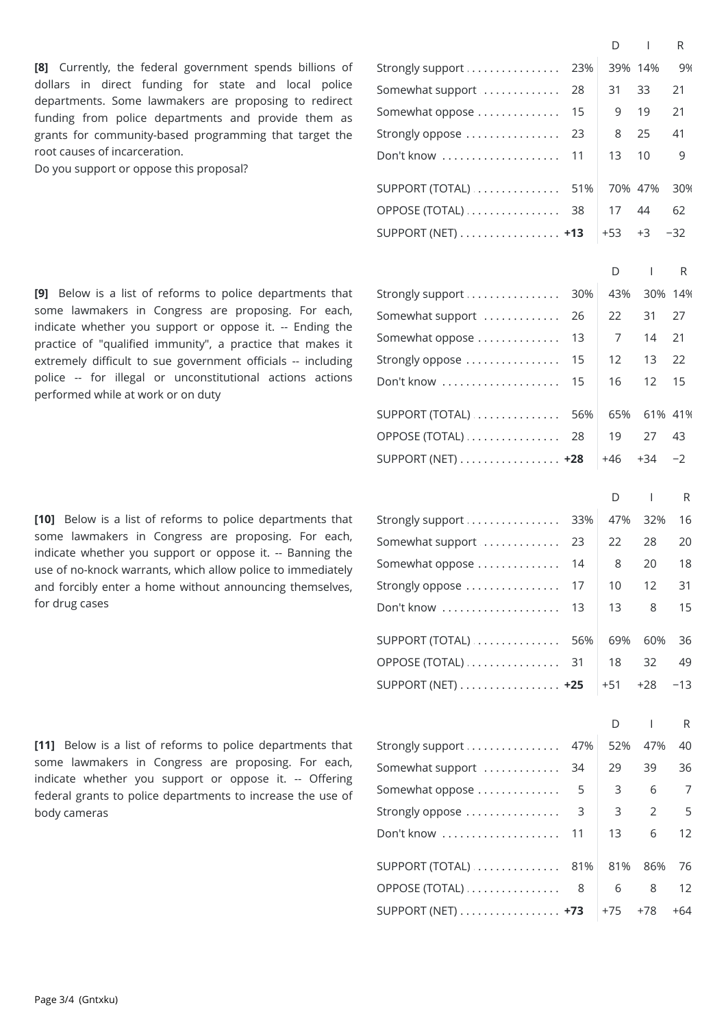**[8]** Currently, the federal government spends billions of dollars in direct funding for state and local police departments. Some lawmakers are proposing to redirect funding from police departments and provide them as grants for community-based programming that target the root causes of incarceration.

Do you support or oppose this proposal?

**[9]** Below is a listof reforms to police departments that some lawmakers in Congress are proposing. For each, indicate whether you support or oppose it. -- Ending the practice of "qualified immunity", a practice that makes it extremely difficult to sue government officials -- including S police -- for illegal or unconstitutional actions actions r performed while at work or on duty

[10] Below is a list of reforms to police departments that some lawmakers in Congress are proposing. For each, indicate whether you support or oppose it. -- Banning the use of no-knock warrants, which allow police to immediately and forcibly enter a home without announcing themselves, S for drug cases

[11] Below is a list of reforms to police departments that some lawmakers in Congress are proposing. For each, indicate whether you support or oppose it. -- Offering federal grants to police departments to increase the use of body cameras

|                                                        |     | D     | $\overline{1}$ | R       |  |
|--------------------------------------------------------|-----|-------|----------------|---------|--|
| Strongly support                                       | 23% |       | 39% 14%        | 9%      |  |
| Somewhat support                                       | 28  | 31    | 33             | 21      |  |
| Somewhat oppose                                        | 15  | 9     | 19             | 21      |  |
| Strongly oppose                                        | 23  | 8     | 25             | 41      |  |
| Don't know                                             | 11  | 13    | 10             | 9       |  |
|                                                        |     |       |                |         |  |
| $SUPPORT (TOTAL)$                                      | 51% |       | 70% 47%        | 30%     |  |
| OPPOSE (TOTAL)                                         | 38  | 17    | 44             | 62      |  |
| SUPPORT (NET) +13                                      |     | +53   | +3             | $-32$   |  |
|                                                        |     | D     | $\mathbf{I}$   | R       |  |
| Strongly support                                       | 30% | 43%   |                | 30% 14% |  |
| Somewhat support                                       | 26  | 22    | 31             | 27      |  |
| Somewhat oppose                                        | 13  | 7     | 14             | 21      |  |
| Strongly oppose                                        | 15  | 12    | 13             | 22      |  |
| Don't know                                             | 15  | 16    | 12             | 15      |  |
|                                                        |     |       |                |         |  |
| $\text{SUPPORT}(\text{TOTAL}) \dots \dots \dots \dots$ | 56% | 65%   |                | 61% 41% |  |
| OPPOSE (TOTAL)                                         | 28  | 19    | 27             | 43      |  |
| SUPPORT (NET) +28                                      |     | $+46$ | $+34$          | $-2$    |  |
|                                                        |     | D     | $\overline{1}$ | R       |  |
| Strongly support                                       | 33% | 47%   | 32%            | 16      |  |
| Somewhat support                                       | 23  | 22    | 28             | 20      |  |
| Somewhat oppose                                        | 14  | 8     | 20             | 18      |  |
| Strongly oppose                                        | 17  | 10    | 12             | 31      |  |
| Don't know                                             | 13  | 13    | 8              | 15      |  |
|                                                        |     |       |                |         |  |
| $SUPPORT (TOTAL)$                                      | 56% | 69%   | 60%            | 36      |  |
| $OPPOSE (TOTAL) \dots \dots \dots \dots$               | 31  | 18    | 32             | 49      |  |
| SUPPORT (NET) +25                                      |     | $+51$ | $+28$          | $-13$   |  |
|                                                        |     | D     | <b>I</b>       | R       |  |
| Strongly support                                       | 47% | 52%   | 47%            | 40      |  |
| Somewhat support                                       | 34  | 29    | 39             | 36      |  |
| Somewhat oppose                                        | 5   | 3     | 6              | 7       |  |
| Strongly oppose                                        | 3   | 3     | 2              | 5       |  |
| Don't know                                             | 11  | 13    | 6              | 12      |  |
|                                                        |     |       |                |         |  |
| $SUPPORT (TOTAL)$                                      | 81% | 81%   | 86%            | 76      |  |
| OPPOSE (TOTAL)                                         | 8   | 6     | 8              | 12      |  |
| SUPPORT (NET) +73                                      |     | $+75$ | $+78$          | $+64$   |  |
|                                                        |     |       |                |         |  |